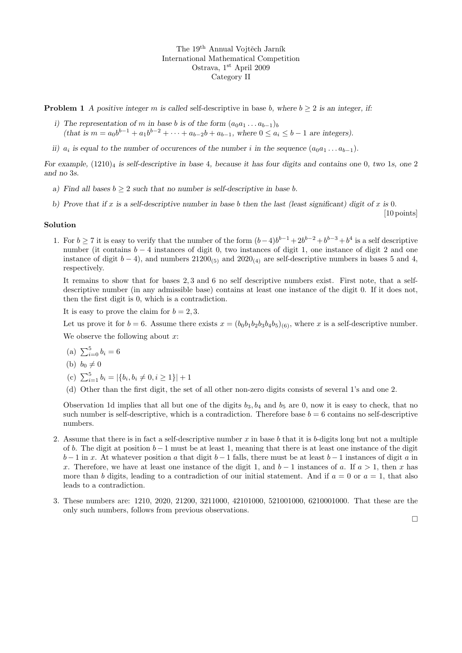The 19<sup>th</sup> Annual Vojtěch Jarník International Mathematical Competition Ostrava, 1<sup>st</sup> April 2009 Category II

**Problem 1** A positive integer m is called self-descriptive in base b, where  $b \geq 2$  is an integer, if:

- i) The representation of m in base b is of the form  $(a_0a_1 \ldots a_{b-1})_b$ (that is  $m = a_0b^{b-1} + a_1b^{b-2} + \cdots + a_{b-2}b + a_{b-1}$ , where  $0 \le a_i \le b-1$  are integers).
- ii)  $a_i$  is equal to the number of occurences of the number i in the sequence  $(a_0a_1 \ldots a_{b-1})$ .

For example,  $(1210)_4$  is self-descriptive in base 4, because it has four digits and contains one 0, two 1s, one 2 and no 3s.

- a) Find all bases  $b \geq 2$  such that no number is self-descriptive in base b.
- b) Prove that if x is a self-descriptive number in base b then the last (least significant) digit of x is 0.

## Solution

1. For  $b \ge 7$  it is easy to verify that the number of the form  $(b-4)b^{b-1}+2b^{b-2}+b^{b-3}+b^4$  is a self descriptive number (it contains  $b - 4$  instances of digit 0, two instances of digit 1, one instance of digit 2 and one instance of digit  $b - 4$ ), and numbers 21200<sub>(5)</sub> and 2020<sub>(4)</sub> are self-descriptive numbers in bases 5 and 4, respectively.

It remains to show that for bases 2, 3 and 6 no self descriptive numbers exist. First note, that a selfdescriptive number (in any admissible base) contains at least one instance of the digit 0. If it does not, then the first digit is 0, which is a contradiction.

It is easy to prove the claim for  $b = 2, 3$ .

Let us prove it for  $b = 6$ . Assume there exists  $x = (b_0b_1b_2b_3b_4b_5)_{(6)}$ , where x is a self-descriptive number.

We observe the following about  $x$ :

- (a)  $\sum_{i=0}^{5} b_i = 6$
- (b)  $b_0 \neq 0$
- (c)  $\sum_{i=1}^{5} b_i = |\{b_i, b_i \neq 0, i \geq 1\}| + 1$
- (d) Other than the first digit, the set of all other non-zero digits consists of several 1's and one 2.

Observation 1d implies that all but one of the digits  $b_3$ ,  $b_4$  and  $b_5$  are 0, now it is easy to check, that no such number is self-descriptive, which is a contradiction. Therefore base  $b = 6$  contains no self-descriptive numbers.

- 2. Assume that there is in fact a self-descriptive number x in base b that it is b-digits long but not a multiple of b. The digit at position  $b-1$  must be at least 1, meaning that there is at least one instance of the digit  $b-1$  in x. At whatever position a that digit  $b-1$  falls, there must be at least  $b-1$  instances of digit a in x. Therefore, we have at least one instance of the digit 1, and  $b-1$  instances of a. If  $a > 1$ , then x has more than b digits, leading to a contradiction of our initial statement. And if  $a = 0$  or  $a = 1$ , that also leads to a contradiction.
- 3. These numbers are: 1210, 2020, 21200, 3211000, 42101000, 521001000, 6210001000. That these are the only such numbers, follows from previous observations.

 $\Box$ 

[10 points]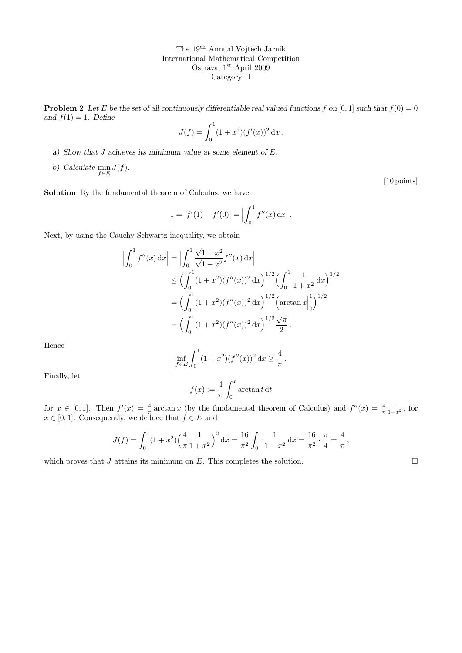The  $19<sup>th</sup>$  Annual Vojtěch Jarník International Mathematical Competition Ostrava, 1st April 2009 Category II

**Problem 2** Let E be the set of all continuously differentiable real valued functions f on [0, 1] such that  $f(0) = 0$ and  $f(1) = 1$ . Define

$$
J(f) = \int_0^1 (1+x^2)(f'(x))^2 dx.
$$

- a) Show that J achieves its minimum value at some element of E.
- b) Calculate  $\min_{f \in E} J(f)$ .

[10 points]

Solution By the fundamental theorem of Calculus, we have

$$
1 = |f'(1) - f'(0)| = \left| \int_0^1 f''(x) dx \right|.
$$

Next, by using the Cauchy-Schwartz inequality, we obtain

$$
\left| \int_0^1 f''(x) dx \right| = \left| \int_0^1 \frac{\sqrt{1+x^2}}{\sqrt{1+x^2}} f''(x) dx \right|
$$
  
\n
$$
\leq \left( \int_0^1 (1+x^2)(f''(x))^2 dx \right)^{1/2} \left( \int_0^1 \frac{1}{1+x^2} dx \right)^{1/2}
$$
  
\n
$$
= \left( \int_0^1 (1+x^2)(f''(x))^2 dx \right)^{1/2} \left( \arctan x \right|_0^1 \right)^{1/2}
$$
  
\n
$$
= \left( \int_0^1 (1+x^2)(f''(x))^2 dx \right)^{1/2} \frac{\sqrt{\pi}}{2}.
$$

Hence

$$
\inf_{f \in E} \int_0^1 (1+x^2)(f''(x))^2 dx \ge \frac{4}{\pi}.
$$

Finally, let

$$
f(x):=\frac{4}{\pi}\int_0^x\arctan t\,\mathrm{d} t
$$

for  $x \in [0,1]$ . Then  $f'(x) = \frac{4}{\pi} \arctan x$  (by the fundamental theorem of Calculus) and  $f''(x) = \frac{4}{\pi} \frac{1}{1+x^2}$ , for  $x \in [0, 1]$ . Consequently, we deduce that  $f \in E$  and

$$
J(f) = \int_0^1 (1+x^2) \left(\frac{4}{\pi} \frac{1}{1+x^2}\right)^2 dx = \frac{16}{\pi^2} \int_0^1 \frac{1}{1+x^2} dx = \frac{16}{\pi^2} \cdot \frac{\pi}{4} = \frac{4}{\pi},
$$

which proves that J attains its minimum on E. This completes the solution.  $\square$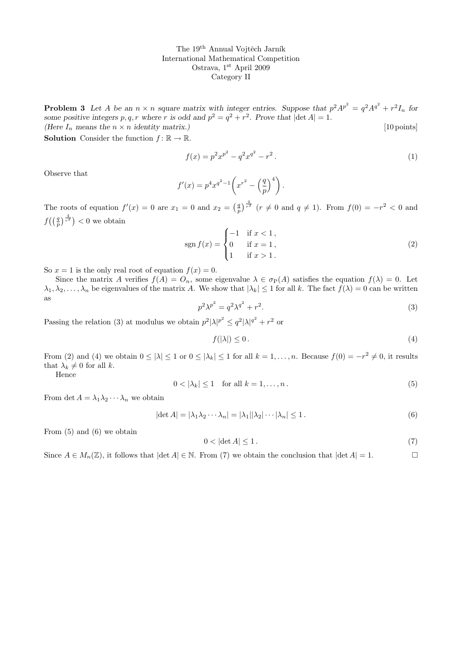The 19<sup>th</sup> Annual Vojtěch Jarník International Mathematical Competition Ostrava, 1st April 2009 Category II

**Problem 3** Let A be an  $n \times n$  square matrix with integer entries. Suppose that  $p^2 A^{p^2} = q^2 A^{q^2} + r^2 I_n$  for some positive integers p, q, r where r is odd and  $p^2 = q^2 + r^2$ . Prove that  $|\det A| = 1$ . (Here  $I_n$  means the  $n \times n$  identity matrix.) [10 points]

**Solution** Consider the function  $f: \mathbb{R} \to \mathbb{R}$ .

$$
f(x) = p^2 x^{p^2} - q^2 x^{q^2} - r^2.
$$
 (1)

Observe that

$$
f'(x) = p^4 x^{q^2 - 1} \left( x^{r^2} - \left( \frac{q}{p} \right)^4 \right).
$$

The roots of equation  $f'(x) = 0$  are  $x_1 = 0$  and  $x_2 = \left(\frac{q}{p}\right)^{\frac{4}{r^2}}$   $(r \neq 0$  and  $q \neq 1)$ . From  $f(0) = -r^2 < 0$  and  $f\left(\left(\frac{q}{p}\right)^{\frac{4}{r^2}}\right) < 0$  we obtain

$$
\operatorname{sgn} f(x) = \begin{cases} -1 & \text{if } x < 1, \\ 0 & \text{if } x = 1, \\ 1 & \text{if } x > 1. \end{cases}
$$
 (2)

So  $x = 1$  is the only real root of equation  $f(x) = 0$ .

Since the matrix A verifies  $f(A) = O_n$ , some eigenvalue  $\lambda \in \sigma_P(A)$  satisfies the equation  $f(\lambda) = 0$ . Let  $\lambda_1, \lambda_2, \ldots, \lambda_n$  be eigenvalues of the matrix A. We show that  $|\lambda_k| \leq 1$  for all k. The fact  $f(\lambda) = 0$  can be written as

$$
p^2 \lambda^{p^2} = q^2 \lambda^{q^2} + r^2. \tag{3}
$$

Passing the relation (3) at modulus we obtain  $p^2 |\lambda|^{p^2} \leq q^2 |\lambda|^{q^2} + r^2$  or

$$
f(|\lambda|) \le 0. \tag{4}
$$

From (2) and (4) we obtain  $0 \le |\lambda| \le 1$  or  $0 \le |\lambda_k| \le 1$  for all  $k = 1, \ldots, n$ . Because  $f(0) = -r^2 \ne 0$ , it results that  $\lambda_k \neq 0$  for all k.

Hence

$$
0 < |\lambda_k| \le 1 \quad \text{for all } k = 1, \dots, n \,. \tag{5}
$$

From det  $A = \lambda_1 \lambda_2 \cdots \lambda_n$  we obtain

$$
|\det A| = |\lambda_1 \lambda_2 \cdots \lambda_n| = |\lambda_1||\lambda_2|\cdots|\lambda_n| \le 1.
$$
\n(6)

From (5) and (6) we obtain

$$
0 < |\det A| \le 1. \tag{7}
$$

Since  $A \in M_n(\mathbb{Z})$ , it follows that  $|\det A| \in \mathbb{N}$ . From (7) we obtain the conclusion that  $|\det A| = 1$ .